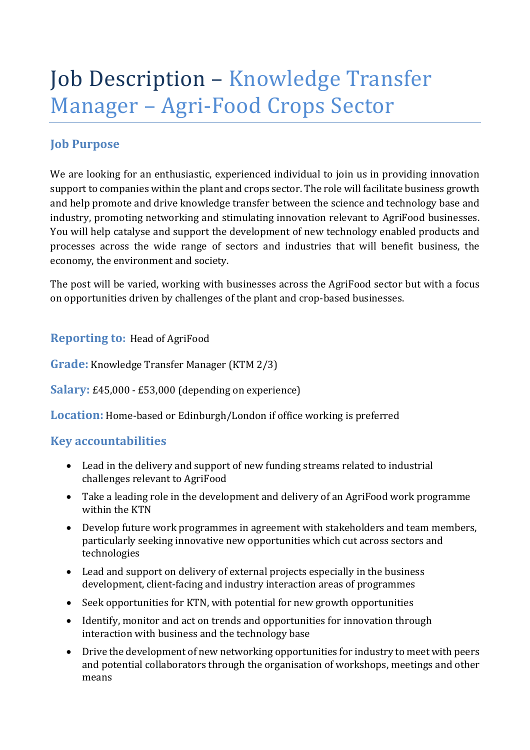# Job Description - Knowledge Transfer Manager - Agri-Food Crops Sector

## **Job Purpose**

We are looking for an enthusiastic, experienced individual to join us in providing innovation support to companies within the plant and crops sector. The role will facilitate business growth and help promote and drive knowledge transfer between the science and technology base and industry, promoting networking and stimulating innovation relevant to AgriFood businesses. You will help catalyse and support the development of new technology enabled products and processes across the wide range of sectors and industries that will benefit business, the economy, the environment and society.

The post will be varied, working with businesses across the AgriFood sector but with a focus on opportunities driven by challenges of the plant and crop-based businesses.

**Reporting to: Head of AgriFood** 

**Grade:** Knowledge Transfer Manager (KTM 2/3)

**Salary:** £45,000 - £53,000 (depending on experience)

**Location:** Home-based or Edinburgh/London if office working is preferred

## **Key accountabilities**

- Lead in the delivery and support of new funding streams related to industrial challenges relevant to AgriFood
- Take a leading role in the development and delivery of an AgriFood work programme within the KTN
- Develop future work programmes in agreement with stakeholders and team members, particularly seeking innovative new opportunities which cut across sectors and technologies
- Lead and support on delivery of external projects especially in the business development, client-facing and industry interaction areas of programmes
- Seek opportunities for KTN, with potential for new growth opportunities
- Identify, monitor and act on trends and opportunities for innovation through interaction with business and the technology base
- Drive the development of new networking opportunities for industry to meet with peers and potential collaborators through the organisation of workshops, meetings and other means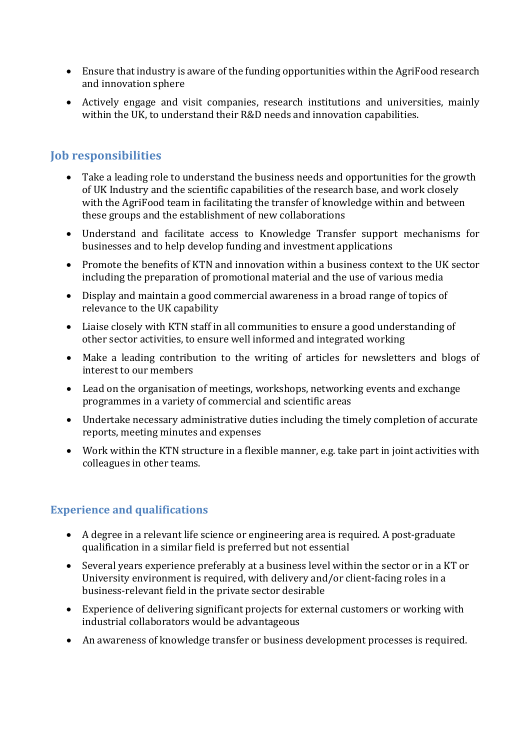- Ensure that industry is aware of the funding opportunities within the AgriFood research and innovation sphere
- Actively engage and visit companies, research institutions and universities, mainly within the UK, to understand their R&D needs and innovation capabilities.

## **Job responsibilities**

- Take a leading role to understand the business needs and opportunities for the growth of UK Industry and the scientific capabilities of the research base, and work closely with the AgriFood team in facilitating the transfer of knowledge within and between these groups and the establishment of new collaborations
- Understand and facilitate access to Knowledge Transfer support mechanisms for businesses and to help develop funding and investment applications
- Promote the benefits of KTN and innovation within a business context to the UK sector including the preparation of promotional material and the use of various media
- Display and maintain a good commercial awareness in a broad range of topics of relevance to the UK capability
- Liaise closely with KTN staff in all communities to ensure a good understanding of other sector activities, to ensure well informed and integrated working
- Make a leading contribution to the writing of articles for newsletters and blogs of interest to our members
- Lead on the organisation of meetings, workshops, networking events and exchange programmes in a variety of commercial and scientific areas
- Undertake necessary administrative duties including the timely completion of accurate reports, meeting minutes and expenses
- Work within the KTN structure in a flexible manner, e.g. take part in joint activities with colleagues in other teams.

## **Experience and qualifications**

- A degree in a relevant life science or engineering area is required. A post-graduate qualification in a similar field is preferred but not essential
- Several years experience preferably at a business level within the sector or in a KT or University environment is required, with delivery and/or client-facing roles in a business-relevant field in the private sector desirable
- Experience of delivering significant projects for external customers or working with industrial collaborators would be advantageous
- An awareness of knowledge transfer or business development processes is required.